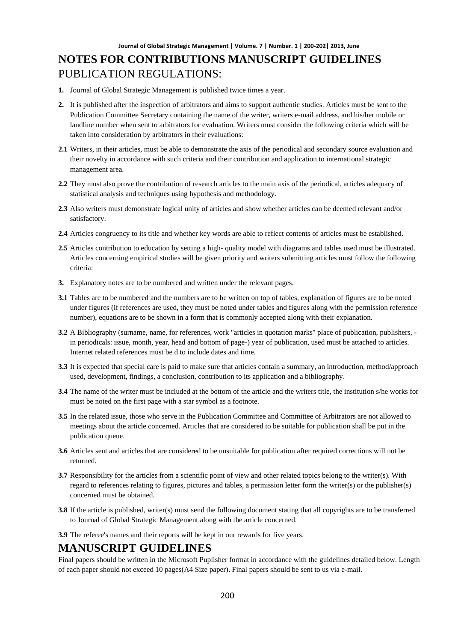# **NOTES FOR CONTRIBUTIONS MANUSCRIPT GUIDELINES** PUBLICATION REGULATIONS:

- **1.** Journal of Global Strategic Management is published twice times a year.
- **2.** It is published after the inspection of arbitrators and aims to support authentic studies. Articles must be sent to the Publication Committee Secretary containing the name of the writer, writers e-mail address, and his/her mobile or landline number when sent to arbitrators for evaluation. Writers must consider the following criteria which will be taken into consideration by arbitrators in their evaluations:
- **2.1** Writers, in their articles, must be able to demonstrate the axis of the periodical and secondary source evaluation and their novelty in accordance with such criteria and their contribution and application to international strategic management area.
- **2.2** They must also prove the contribution of research articles to the main axis of the periodical, articles adequacy of statistical analysis and techniques using hypothesis and methodology.
- **2.3** Also writers must demonstrate logical unity of articles and show whether articles can be deemed relevant and/or satisfactory.
- **2.4** Articles congruency to its title and whether key words are able to reflect contents of articles must be established.
- **2.5** Articles contribution to education by setting a high- quality model with diagrams and tables used must be illustrated. Articles concerning empirical studies will be given priority and writers submitting articles must follow the following criteria:
- **3.** Explanatory notes are to be numbered and written under the relevant pages.
- **3.1** Tables are to be numbered and the numbers are to be written on top of tables, explanation of figures are to be noted under figures (if references are used, they must be noted under tables and figures along with the permission reference number), equations are to be shown in a form that is commonly accepted along with their explanation.
- **3.2** A Bibliography (surname, name, for references, work "articles in quotation marks" place of publication, publishers, in periodicals: issue, month, year, head and bottom of page-) year of publication, used must be attached to articles. Internet related references must be d to include dates and time.
- **3.3** It is expected that special care is paid to make sure that articles contain a summary, an introduction, method/approach used, development, findings, a conclusion, contribution to its application and a bibliography.
- **3.4** The name of the writer must be included at the bottom of the article and the writers title, the institution s/he works for must be noted on the first page with a star symbol as a footnote.
- **3.5** In the related issue, those who serve in the Publication Committee and Committee of Arbitrators are not allowed to meetings about the article concerned. Articles that are considered to be suitable for publication shall be put in the publication queue.
- **3.6** Articles sent and articles that are considered to be unsuitable for publication after required corrections will not be returned.
- **3.7** Responsibility for the articles from a scientific point of view and other related topics belong to the writer(s). With regard to references relating to figures, pictures and tables, a permission letter form the writer(s) or the publisher(s) concerned must be obtained.
- **3.8** If the article is published, writer(s) must send the following document stating that all copyrights are to be transferred to Journal of Global Strategic Management along with the article concerned.
- **3.9** The referee's names and their reports will be kept in our rewards for five years.

#### **MANUSCRIPT GUIDELINES**

Final papers should be written in the Microsoft Puplisher format in accordance with the guidelines detailed below. Length of each paper should not exceed 10 pages(A4 Size paper). Final papers should be sent to us via e-mail.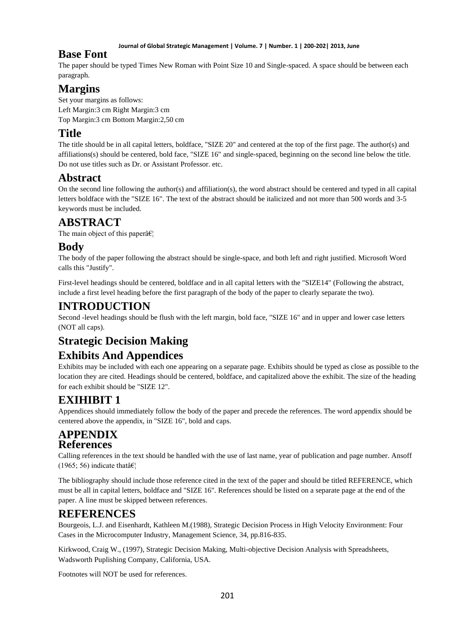#### **Journal of Global Strategic Management | Volume. 7 | Number. 1 | 200-202| 2013, June**

### **Base Font**

The paper should be typed Times New Roman with Point Size 10 and Single-spaced. A space should be between each paragraph.

# **Margins**

Set your margins as follows: Left Margin:3 cm Right Margin:3 cm Top Margin:3 cm Bottom Margin:2,50 cm

# **Title**

The title should be in all capital letters, boldface, "SIZE 20" and centered at the top of the first page. The author(s) and affiliations(s) should be centered, bold face, "SIZE 16" and single-spaced, beginning on the second line below the title. Do not use titles such as Dr. or Assistant Professor. etc.

## **Abstract**

On the second line following the author(s) and affiliation(s), the word abstract should be centered and typed in all capital letters boldface with the "SIZE 16". The text of the abstract should be italicized and not more than 500 words and 3-5 keywords must be included.

## **ABSTRACT**

The main object of this paper $\hat{a} \in \mathcal{C}_1$ 

## **Body**

The body of the paper following the abstract should be single-space, and both left and right justified. Microsoft Word calls this "Justify".

First-level headings should be centered, boldface and in all capital letters with the "SIZE14" (Following the abstract, include a first level heading before the first paragraph of the body of the paper to clearly separate the two).

## **INTRODUCTION**

Second -level headings should be flush with the left margin, bold face, "SIZE 16" and in upper and lower case letters (NOT all caps).

# **Strategic Decision Making**

# **Exhibits And Appendices**

Exhibits may be included with each one appearing on a separate page. Exhibits should be typed as close as possible to the location they are cited. Headings should be centered, boldface, and capitalized above the exhibit. The size of the heading for each exhibit should be "SIZE 12".

# **EXIHIBIT 1**

Appendices should immediately follow the body of the paper and precede the references. The word appendix should be centered above the appendix, in "SIZE 16", bold and caps.

### **APPENDIX References**

Calling references in the text should be handled with the use of last name, year of publication and page number. Ansoff (1965; 56) indicate that  $\hat{\mathbf{a}} \in \mathbb{R}^n$ 

The bibliography should include those reference cited in the text of the paper and should be titled REFERENCE, which must be all in capital letters, boldface and "SIZE 16". References should be listed on a separate page at the end of the paper. A line must be skipped between references.

# **REFERENCES**

Bourgeois, L.J. and Eisenhardt, Kathleen M.(1988), Strategic Decision Process in High Velocity Environment: Four Cases in the Microcomputer Industry, Management Science, 34, pp.816-835.

Kirkwood, Craig W., (1997), Strategic Decision Making, Multi-objective Decision Analysis with Spreadsheets, Wadsworth Puplishing Company, California, USA.

Footnotes will NOT be used for references.